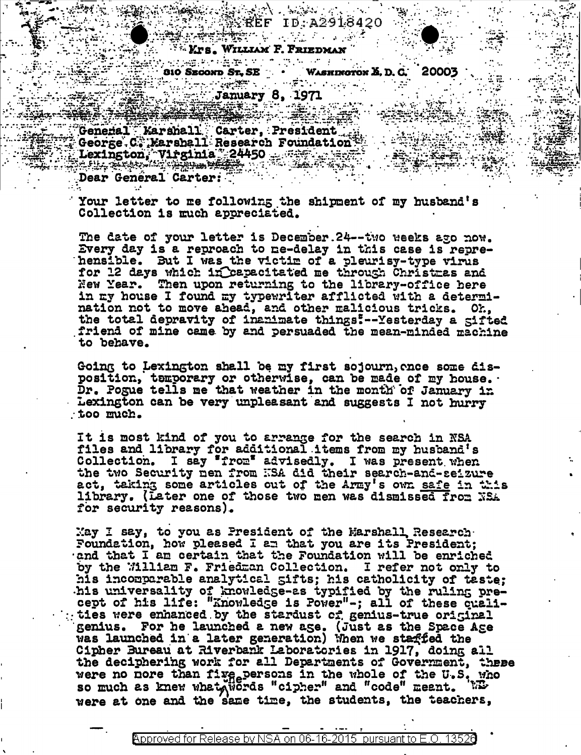**Service** State (1987) Krs. William F. Friedman

810 SECOND ST. SE WASHINGTON & D. G. 20003 January 8, 1971

XXREF ID:A2918420

General Karshall Carter, President<br>George C. Karshall Research Foundation<br>Lexington, Virginia 24450<br>Dear General Carter:

Your letter to me following the shipment of my husband's Collection is much appreciated.

The date of your letter is December. 24 -- two weeks ago now. Every day is a reproach to ne-delay in this case is reprehensible. But I was the victim of a pleurisy-type virus for 12 days which in Capacitated me through Christmas and New Year. Then upon returning to the library-office here in my house I found my typewriter afflicted with a determination not to move ahead, and other malicious tricks. Oh, the total depravity of inanimate things!--Yesterday a gifted friend of mine came by and persuaded the mean-minded machine to behave.

Going to Lexington shall be my first sojourn, once some disposition, temporary or otherwise, can be made of my house. Dr. Pogue tells me that weather in the month of January in Lexington can be very unpleasant and suggests I not hurry too much.

It is most kind of you to arrange for the search in NSA files and library for additional items from my husband's Collection. I say "from" advisedly. I was present when the two Security nen from KSA did their search-and-seizure act, taking some articles out of the Army's own safe in this library. (Later one of those two men was dismissed from NSA for security reasons).

May I say, to you as President of the Marshall Research Foundation, how pleased I am that you are its President; and that I am certain that the Foundation will be enriched by the William F. Friedman Collection. I refer not only to his incomparable analytical gifts; his catholicity of taste; his universality of knowledge-as typified by the ruling precept of his life: "Knowledge is Power"-; all of these quali-<br>ties were enhanced by the stardust cf genius-true original genius. For he launched a new age. (Just as the Space Age was launched in a later generation) When we staffed the Cipher Bureau at Riverbank Laboratories in 1917, doing all the deciphering work for all Departments of Government, these were no nore than five persons in the whole of the U.S. who so much as knew what were "cipher" and "code" meant. were at one and the same time, the students, the teachers,